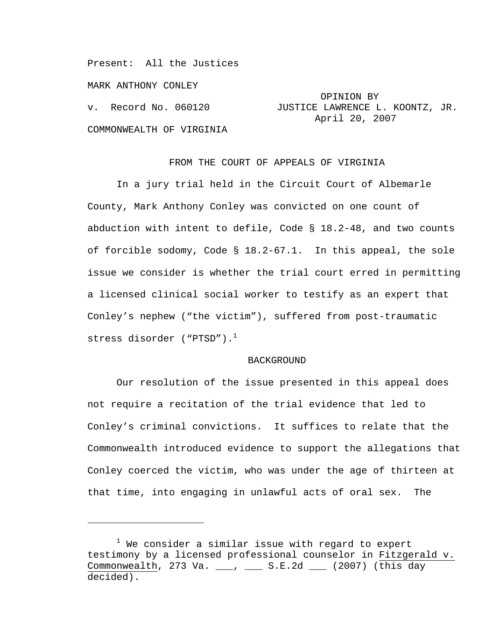Present: All the Justices

MARK ANTHONY CONLEY

i<br>Li

COMMONWEALTH OF VIRGINIA

 OPINION BY v. Record No. 060120 JUSTICE LAWRENCE L. KOONTZ, JR. April 20, 2007

## FROM THE COURT OF APPEALS OF VIRGINIA

 In a jury trial held in the Circuit Court of Albemarle County, Mark Anthony Conley was convicted on one count of abduction with intent to defile, Code § 18.2-48, and two counts of forcible sodomy, Code § 18.2-67.1. In this appeal, the sole issue we consider is whether the trial court erred in permitting a licensed clinical social worker to testify as an expert that Conley's nephew ("the victim"), suffered from post-traumatic stress disorder ("PTSD").<sup>1</sup>

## BACKGROUND

 Our resolution of the issue presented in this appeal does not require a recitation of the trial evidence that led to Conley's criminal convictions. It suffices to relate that the Commonwealth introduced evidence to support the allegations that Conley coerced the victim, who was under the age of thirteen at that time, into engaging in unlawful acts of oral sex. The

 $^1$  We consider a similar issue with regard to expert testimony by a licensed professional counselor in Fitzgerald v. Commonwealth, 273 Va. \_\_\_, \_\_\_ S.E.2d \_\_\_ (2007) (this day decided).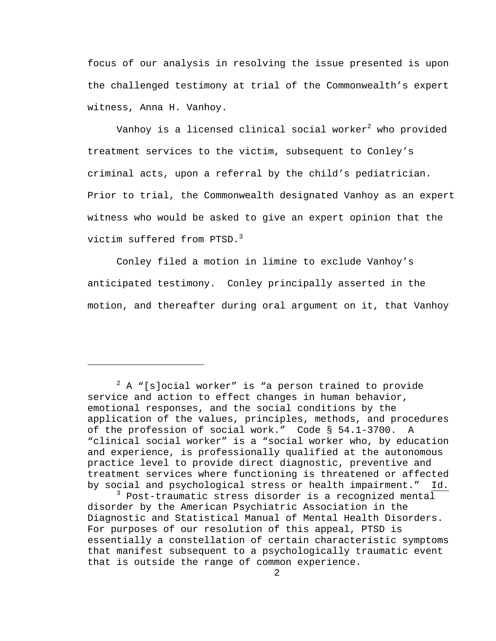focus of our analysis in resolving the issue presented is upon the challenged testimony at trial of the Commonwealth's expert witness, Anna H. Vanhoy.

Vanhoy is a licensed clinical social worker $^2$  who provided treatment services to the victim, subsequent to Conley's criminal acts, upon a referral by the child's pediatrician. Prior to trial, the Commonwealth designated Vanhoy as an expert witness who would be asked to give an expert opinion that the victim suffered from PTSD.<sup>3</sup>

 Conley filed a motion in limine to exclude Vanhoy's anticipated testimony. Conley principally asserted in the motion, and thereafter during oral argument on it, that Vanhoy

i<br>Li

 $2$  A "[s]ocial worker" is "a person trained to provide service and action to effect changes in human behavior, emotional responses, and the social conditions by the application of the values, principles, methods, and procedures of the profession of social work." Code § 54.1-3700. A "clinical social worker" is a "social worker who, by education and experience, is professionally qualified at the autonomous practice level to provide direct diagnostic, preventive and treatment services where functioning is threatened or affected by social and psychological stress or health impairment." Id.

<sup>&</sup>lt;sup>3</sup> Post-traumatic stress disorder is a recognized mental disorder by the American Psychiatric Association in the Diagnostic and Statistical Manual of Mental Health Disorders. For purposes of our resolution of this appeal, PTSD is essentially a constellation of certain characteristic symptoms that manifest subsequent to a psychologically traumatic event that is outside the range of common experience.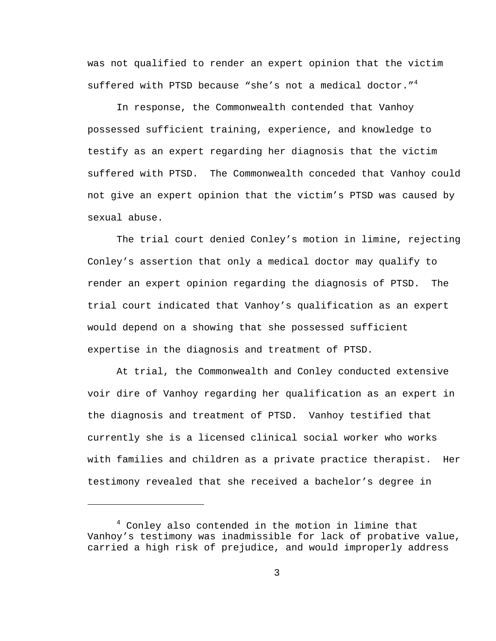was not qualified to render an expert opinion that the victim suffered with PTSD because "she's not a medical doctor."<sup>4</sup>

 In response, the Commonwealth contended that Vanhoy possessed sufficient training, experience, and knowledge to testify as an expert regarding her diagnosis that the victim suffered with PTSD. The Commonwealth conceded that Vanhoy could not give an expert opinion that the victim's PTSD was caused by sexual abuse.

 The trial court denied Conley's motion in limine, rejecting Conley's assertion that only a medical doctor may qualify to render an expert opinion regarding the diagnosis of PTSD. The trial court indicated that Vanhoy's qualification as an expert would depend on a showing that she possessed sufficient expertise in the diagnosis and treatment of PTSD.

 At trial, the Commonwealth and Conley conducted extensive voir dire of Vanhoy regarding her qualification as an expert in the diagnosis and treatment of PTSD. Vanhoy testified that currently she is a licensed clinical social worker who works with families and children as a private practice therapist. Her testimony revealed that she received a bachelor's degree in

 $\overline{\phantom{0}}$ 

<sup>4</sup> Conley also contended in the motion in limine that Vanhoy's testimony was inadmissible for lack of probative value, carried a high risk of prejudice, and would improperly address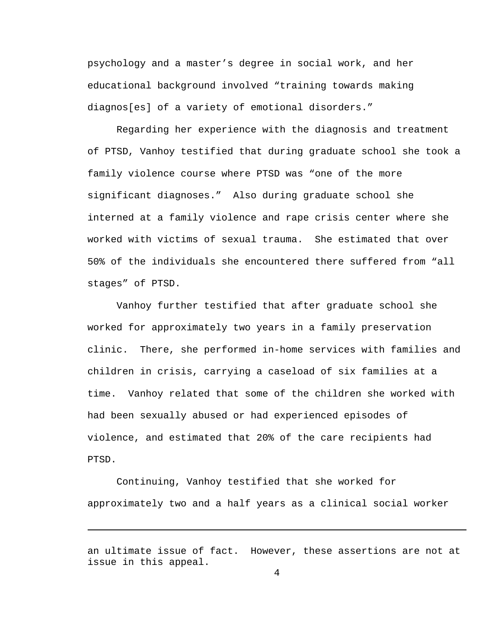psychology and a master's degree in social work, and her educational background involved "training towards making diagnos[es] of a variety of emotional disorders."

 Regarding her experience with the diagnosis and treatment of PTSD, Vanhoy testified that during graduate school she took a family violence course where PTSD was "one of the more significant diagnoses." Also during graduate school she interned at a family violence and rape crisis center where she worked with victims of sexual trauma. She estimated that over 50% of the individuals she encountered there suffered from "all stages" of PTSD.

 Vanhoy further testified that after graduate school she worked for approximately two years in a family preservation clinic. There, she performed in-home services with families and children in crisis, carrying a caseload of six families at a time. Vanhoy related that some of the children she worked with had been sexually abused or had experienced episodes of violence, and estimated that 20% of the care recipients had PTSD.

 Continuing, Vanhoy testified that she worked for approximately two and a half years as a clinical social worker

i

an ultimate issue of fact. However, these assertions are not at issue in this appeal.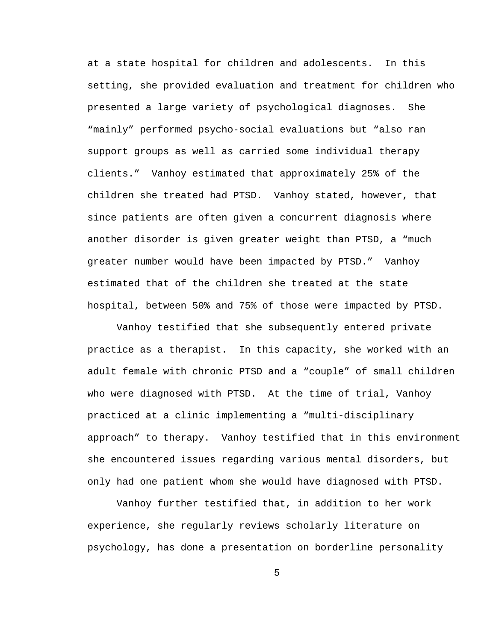at a state hospital for children and adolescents. In this setting, she provided evaluation and treatment for children who presented a large variety of psychological diagnoses. She "mainly" performed psycho-social evaluations but "also ran support groups as well as carried some individual therapy clients." Vanhoy estimated that approximately 25% of the children she treated had PTSD. Vanhoy stated, however, that since patients are often given a concurrent diagnosis where another disorder is given greater weight than PTSD, a "much greater number would have been impacted by PTSD." Vanhoy estimated that of the children she treated at the state hospital, between 50% and 75% of those were impacted by PTSD.

 Vanhoy testified that she subsequently entered private practice as a therapist. In this capacity, she worked with an adult female with chronic PTSD and a "couple" of small children who were diagnosed with PTSD. At the time of trial, Vanhoy practiced at a clinic implementing a "multi-disciplinary approach" to therapy. Vanhoy testified that in this environment she encountered issues regarding various mental disorders, but only had one patient whom she would have diagnosed with PTSD.

 Vanhoy further testified that, in addition to her work experience, she regularly reviews scholarly literature on psychology, has done a presentation on borderline personality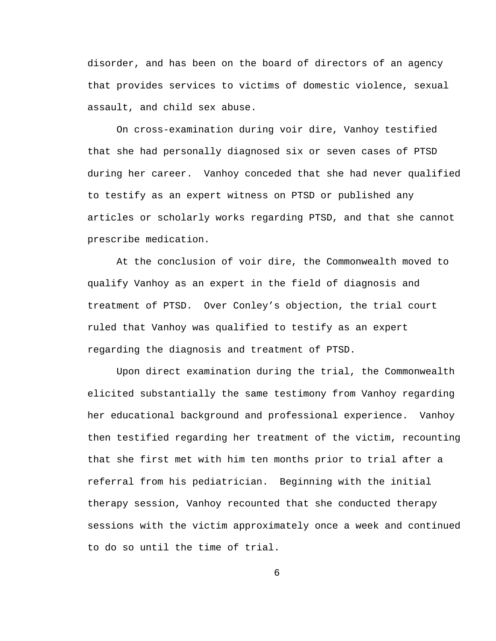disorder, and has been on the board of directors of an agency that provides services to victims of domestic violence, sexual assault, and child sex abuse.

 On cross-examination during voir dire, Vanhoy testified that she had personally diagnosed six or seven cases of PTSD during her career. Vanhoy conceded that she had never qualified to testify as an expert witness on PTSD or published any articles or scholarly works regarding PTSD, and that she cannot prescribe medication.

 At the conclusion of voir dire, the Commonwealth moved to qualify Vanhoy as an expert in the field of diagnosis and treatment of PTSD. Over Conley's objection, the trial court ruled that Vanhoy was qualified to testify as an expert regarding the diagnosis and treatment of PTSD.

 Upon direct examination during the trial, the Commonwealth elicited substantially the same testimony from Vanhoy regarding her educational background and professional experience. Vanhoy then testified regarding her treatment of the victim, recounting that she first met with him ten months prior to trial after a referral from his pediatrician. Beginning with the initial therapy session, Vanhoy recounted that she conducted therapy sessions with the victim approximately once a week and continued to do so until the time of trial.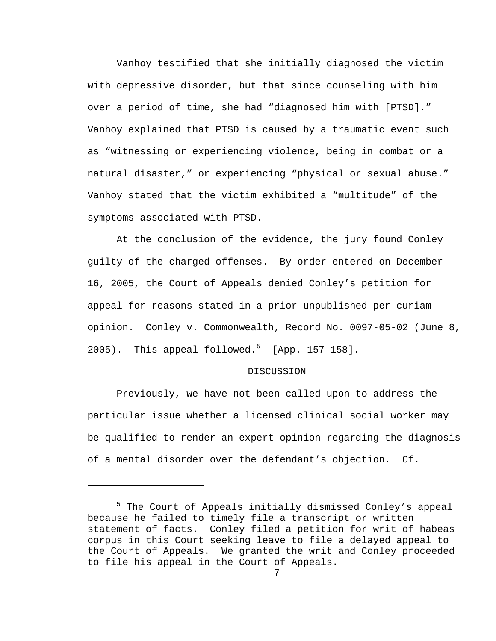Vanhoy testified that she initially diagnosed the victim with depressive disorder, but that since counseling with him over a period of time, she had "diagnosed him with [PTSD]." Vanhoy explained that PTSD is caused by a traumatic event such as "witnessing or experiencing violence, being in combat or a natural disaster," or experiencing "physical or sexual abuse." Vanhoy stated that the victim exhibited a "multitude" of the symptoms associated with PTSD.

 At the conclusion of the evidence, the jury found Conley guilty of the charged offenses. By order entered on December 16, 2005, the Court of Appeals denied Conley's petition for appeal for reasons stated in a prior unpublished per curiam opinion. Conley v. Commonwealth, Record No. 0097-05-02 (June 8,  $2005$ ). This appeal followed.<sup>5</sup> [App. 157-158].

## DISCUSSION

 Previously, we have not been called upon to address the particular issue whether a licensed clinical social worker may be qualified to render an expert opinion regarding the diagnosis of a mental disorder over the defendant's objection. Cf.

i

<sup>&</sup>lt;sup>5</sup> The Court of Appeals initially dismissed Conley's appeal because he failed to timely file a transcript or written statement of facts. Conley filed a petition for writ of habeas corpus in this Court seeking leave to file a delayed appeal to the Court of Appeals. We granted the writ and Conley proceeded to file his appeal in the Court of Appeals.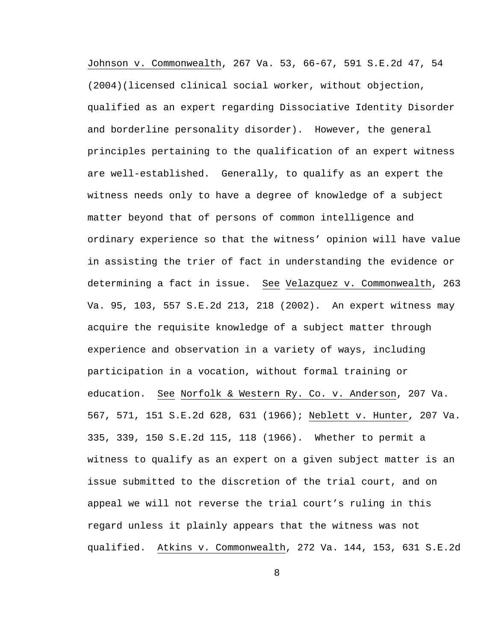Johnson v. Commonwealth, 267 Va. 53, 66-67, 591 S.E.2d 47, 54 (2004)(licensed clinical social worker, without objection, qualified as an expert regarding Dissociative Identity Disorder and borderline personality disorder). However, the general principles pertaining to the qualification of an expert witness are well-established. Generally, to qualify as an expert the witness needs only to have a degree of knowledge of a subject matter beyond that of persons of common intelligence and ordinary experience so that the witness' opinion will have value in assisting the trier of fact in understanding the evidence or determining a fact in issue. See Velazquez v. Commonwealth, 263 Va. 95, 103, 557 S.E.2d 213, 218 (2002). An expert witness may acquire the requisite knowledge of a subject matter through experience and observation in a variety of ways, including participation in a vocation, without formal training or education. See Norfolk & Western Ry. Co. v. Anderson, 207 Va. 567, 571, 151 S.E.2d 628, 631 (1966); Neblett v. Hunter, 207 Va. 335, 339, 150 S.E.2d 115, 118 (1966). Whether to permit a witness to qualify as an expert on a given subject matter is an issue submitted to the discretion of the trial court, and on appeal we will not reverse the trial court's ruling in this regard unless it plainly appears that the witness was not qualified. Atkins v. Commonwealth, 272 Va. 144, 153, 631 S.E.2d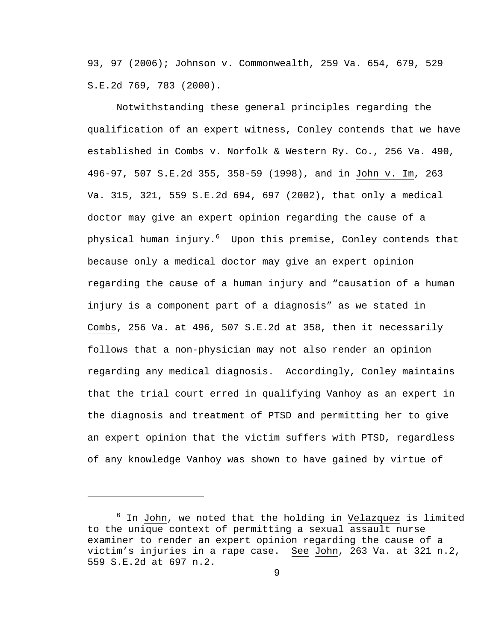93, 97 (2006); Johnson v. Commonwealth, 259 Va. 654, 679, 529 S.E.2d 769, 783 (2000).

 Notwithstanding these general principles regarding the qualification of an expert witness, Conley contends that we have established in Combs v. Norfolk & Western Ry. Co., 256 Va. 490, 496-97, 507 S.E.2d 355, 358-59 (1998), and in John v. Im, 263 Va. 315, 321, 559 S.E.2d 694, 697 (2002), that only a medical doctor may give an expert opinion regarding the cause of a physical human injury. $^6\;$  Upon this premise, Conley contends that because only a medical doctor may give an expert opinion regarding the cause of a human injury and "causation of a human injury is a component part of a diagnosis" as we stated in Combs, 256 Va. at 496, 507 S.E.2d at 358, then it necessarily follows that a non-physician may not also render an opinion regarding any medical diagnosis. Accordingly, Conley maintains that the trial court erred in qualifying Vanhoy as an expert in the diagnosis and treatment of PTSD and permitting her to give an expert opinion that the victim suffers with PTSD, regardless of any knowledge Vanhoy was shown to have gained by virtue of

i<br>Li

<sup>&</sup>lt;sup>6</sup> In John, we noted that the holding in Velazquez is limited to the unique context of permitting a sexual assault nurse examiner to render an expert opinion regarding the cause of a victim's injuries in a rape case. See John, 263 Va. at 321 n.2, 559 S.E.2d at 697 n.2.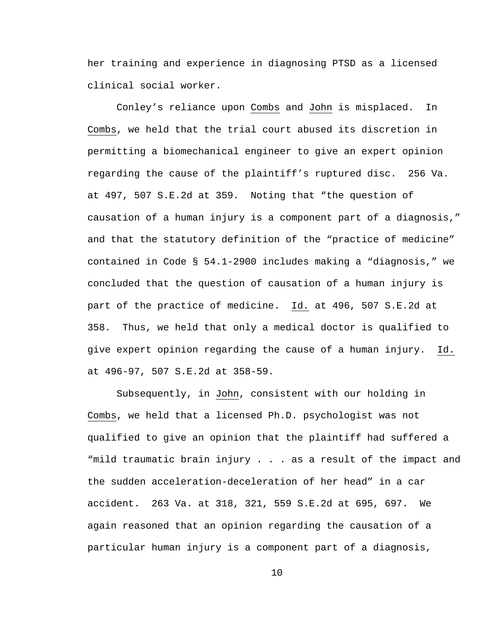her training and experience in diagnosing PTSD as a licensed clinical social worker.

 Conley's reliance upon Combs and John is misplaced. In Combs, we held that the trial court abused its discretion in permitting a biomechanical engineer to give an expert opinion regarding the cause of the plaintiff's ruptured disc. 256 Va. at 497, 507 S.E.2d at 359. Noting that "the question of causation of a human injury is a component part of a diagnosis," and that the statutory definition of the "practice of medicine" contained in Code § 54.1-2900 includes making a "diagnosis," we concluded that the question of causation of a human injury is part of the practice of medicine. Id. at 496, 507 S.E.2d at 358. Thus, we held that only a medical doctor is qualified to give expert opinion regarding the cause of a human injury. Id. at 496-97, 507 S.E.2d at 358-59.

 Subsequently, in John, consistent with our holding in Combs, we held that a licensed Ph.D. psychologist was not qualified to give an opinion that the plaintiff had suffered a "mild traumatic brain injury . . . as a result of the impact and the sudden acceleration-deceleration of her head" in a car accident. 263 Va. at 318, 321, 559 S.E.2d at 695, 697. We again reasoned that an opinion regarding the causation of a particular human injury is a component part of a diagnosis,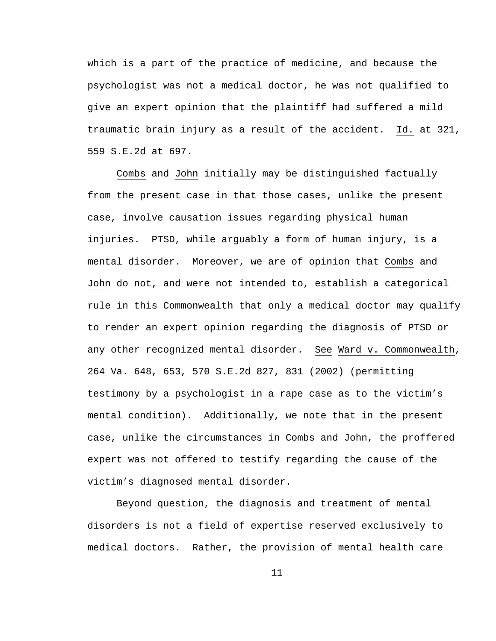which is a part of the practice of medicine, and because the psychologist was not a medical doctor, he was not qualified to give an expert opinion that the plaintiff had suffered a mild traumatic brain injury as a result of the accident. Id. at 321, 559 S.E.2d at 697.

 Combs and John initially may be distinguished factually from the present case in that those cases, unlike the present case, involve causation issues regarding physical human injuries. PTSD, while arguably a form of human injury, is a mental disorder. Moreover, we are of opinion that Combs and John do not, and were not intended to, establish a categorical rule in this Commonwealth that only a medical doctor may qualify to render an expert opinion regarding the diagnosis of PTSD or any other recognized mental disorder. See Ward v. Commonwealth, 264 Va. 648, 653, 570 S.E.2d 827, 831 (2002) (permitting testimony by a psychologist in a rape case as to the victim's mental condition). Additionally, we note that in the present case, unlike the circumstances in Combs and John, the proffered expert was not offered to testify regarding the cause of the victim's diagnosed mental disorder.

 Beyond question, the diagnosis and treatment of mental disorders is not a field of expertise reserved exclusively to medical doctors. Rather, the provision of mental health care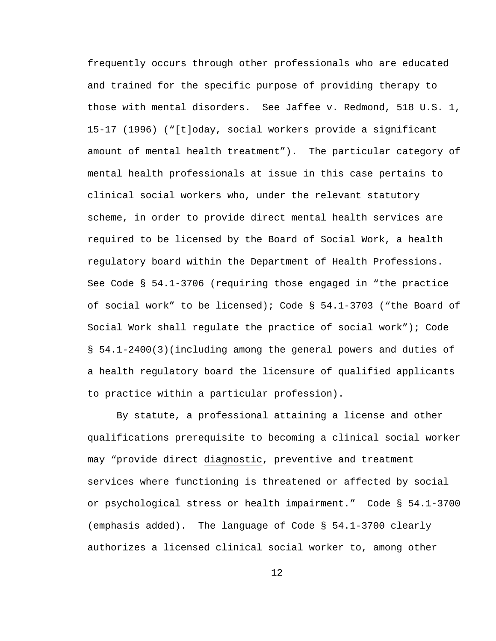frequently occurs through other professionals who are educated and trained for the specific purpose of providing therapy to those with mental disorders. See Jaffee v. Redmond, 518 U.S. 1, 15-17 (1996) ("[t]oday, social workers provide a significant amount of mental health treatment"). The particular category of mental health professionals at issue in this case pertains to clinical social workers who, under the relevant statutory scheme, in order to provide direct mental health services are required to be licensed by the Board of Social Work, a health regulatory board within the Department of Health Professions. See Code § 54.1-3706 (requiring those engaged in "the practice of social work" to be licensed); Code § 54.1-3703 ("the Board of Social Work shall regulate the practice of social work"); Code § 54.1-2400(3)(including among the general powers and duties of a health regulatory board the licensure of qualified applicants to practice within a particular profession).

 By statute, a professional attaining a license and other qualifications prerequisite to becoming a clinical social worker may "provide direct diagnostic, preventive and treatment services where functioning is threatened or affected by social or psychological stress or health impairment." Code § 54.1-3700 (emphasis added). The language of Code § 54.1-3700 clearly authorizes a licensed clinical social worker to, among other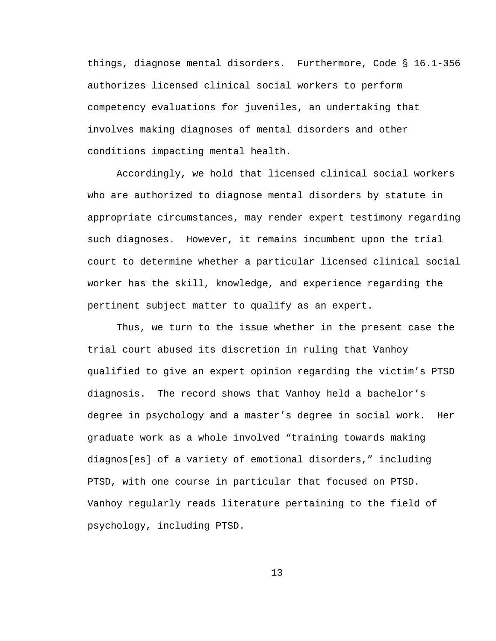things, diagnose mental disorders. Furthermore, Code § 16.1-356 authorizes licensed clinical social workers to perform competency evaluations for juveniles, an undertaking that involves making diagnoses of mental disorders and other conditions impacting mental health.

 Accordingly, we hold that licensed clinical social workers who are authorized to diagnose mental disorders by statute in appropriate circumstances, may render expert testimony regarding such diagnoses. However, it remains incumbent upon the trial court to determine whether a particular licensed clinical social worker has the skill, knowledge, and experience regarding the pertinent subject matter to qualify as an expert.

 Thus, we turn to the issue whether in the present case the trial court abused its discretion in ruling that Vanhoy qualified to give an expert opinion regarding the victim's PTSD diagnosis. The record shows that Vanhoy held a bachelor's degree in psychology and a master's degree in social work. Her graduate work as a whole involved "training towards making diagnos[es] of a variety of emotional disorders," including PTSD, with one course in particular that focused on PTSD. Vanhoy regularly reads literature pertaining to the field of psychology, including PTSD.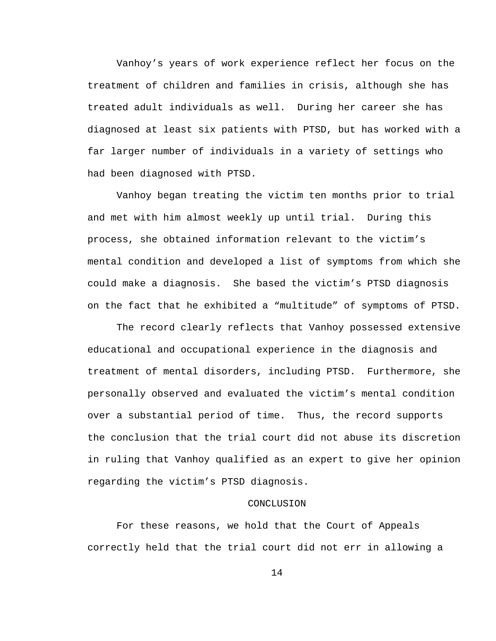Vanhoy's years of work experience reflect her focus on the treatment of children and families in crisis, although she has treated adult individuals as well. During her career she has diagnosed at least six patients with PTSD, but has worked with a far larger number of individuals in a variety of settings who had been diagnosed with PTSD.

 Vanhoy began treating the victim ten months prior to trial and met with him almost weekly up until trial. During this process, she obtained information relevant to the victim's mental condition and developed a list of symptoms from which she could make a diagnosis. She based the victim's PTSD diagnosis on the fact that he exhibited a "multitude" of symptoms of PTSD.

 The record clearly reflects that Vanhoy possessed extensive educational and occupational experience in the diagnosis and treatment of mental disorders, including PTSD. Furthermore, she personally observed and evaluated the victim's mental condition over a substantial period of time. Thus, the record supports the conclusion that the trial court did not abuse its discretion in ruling that Vanhoy qualified as an expert to give her opinion regarding the victim's PTSD diagnosis.

## CONCLUSION

 For these reasons, we hold that the Court of Appeals correctly held that the trial court did not err in allowing a